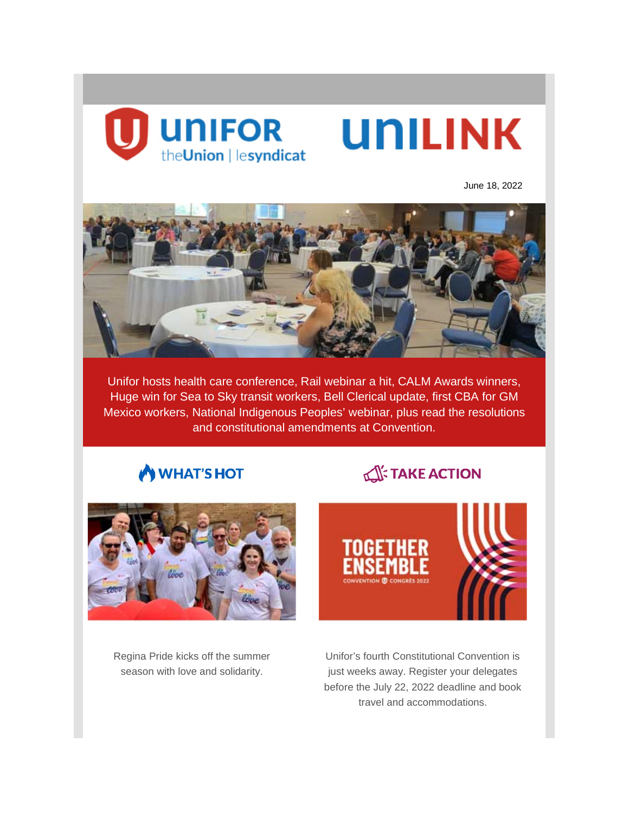

June 18, 2022



Unifor hosts health care conference, Rail webinar a hit, CALM Awards winners, Huge win for Sea to Sky transit workers, Bell Clerical update, first CBA for GM Mexico workers, National Indigenous Peoples' webinar, plus read the resolutions and constitutional amendments at Convention.

## WHAT'S HOT

# **TAKE ACTION**



Regina Pride kicks off the summer season with love and solidarity.

Unifor's fourth Constitutional Convention is just weeks away. Register your delegates before the July 22, 2022 deadline and book travel and accommodations.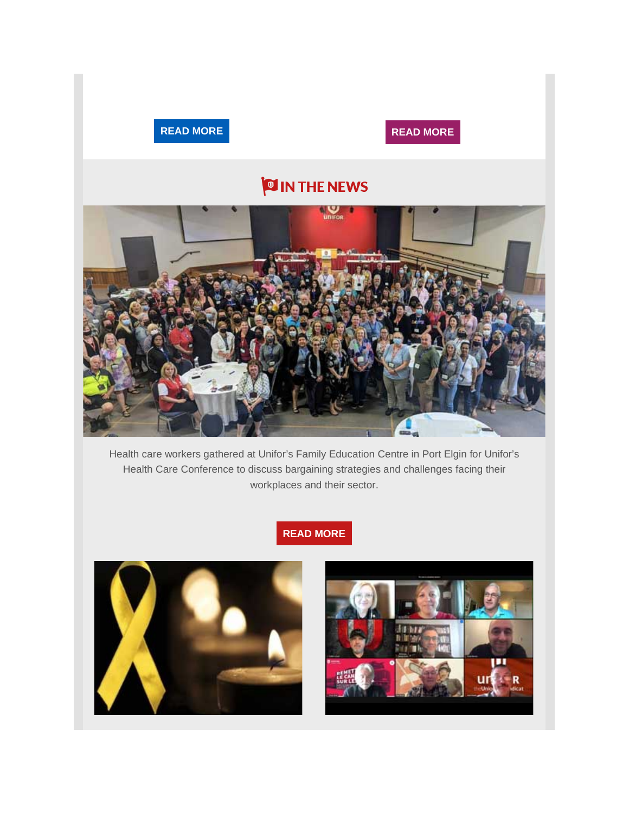



# **O IN THE NEWS**



Health care workers gathered at Unifor's Family Education Centre in Port Elgin for Unifor's Health Care Conference to discuss bargaining strategies and challenges facing their workplaces and their sector.

## **READ [MORE](https://www.unifor.org/news/all-news/mental-health-and-burn-out-remains-top-priority-unifor-health-care-conference)**



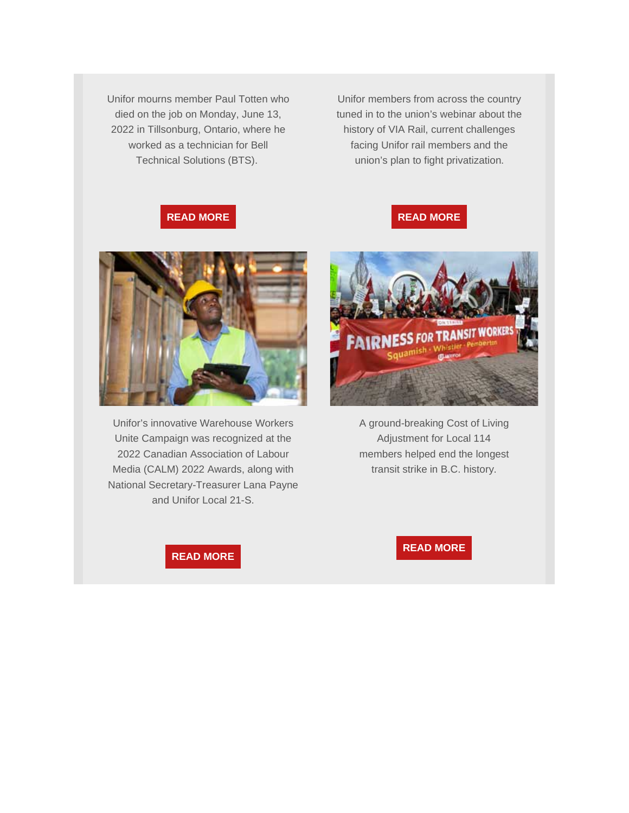Unifor mourns member Paul Totten who died on the job on Monday, June 13, 2022 in Tillsonburg, Ontario, where he worked as a technician for Bell Technical Solutions (BTS).

Unifor members from across the country tuned in to the union's webinar about the history of VIA Rail, current challenges facing Unifor rail members and the union's plan to fight privatization.

**READ [MORE](https://www.unifor.org/news/all-news/unifor-hosts-get-canada-back-track-webinar-supporting-rail-0)**

#### **READ [MORE](https://www.unifor.org/news/all-news/unifor-mourns-loss-local-45-member-who-died-job)**



Unifor's innovative Warehouse Workers Unite Campaign was recognized at the 2022 Canadian Association of Labour Media (CALM) 2022 Awards, along with National Secretary-Treasurer Lana Payne and Unifor Local 21-S.





A ground-breaking Cost of Living Adjustment for Local 114 members helped end the longest transit strike in B.C. history.

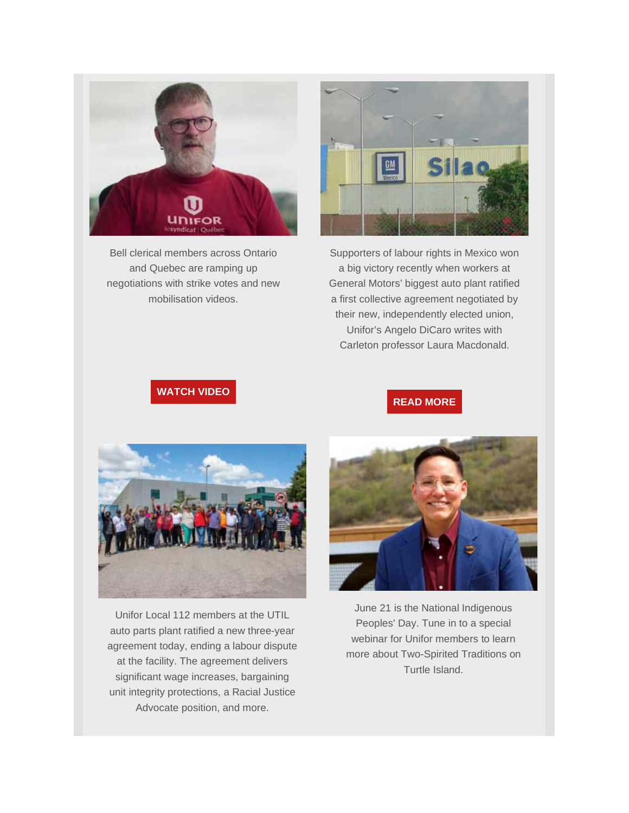

Bell clerical members across Ontario and Quebec are ramping up negotiations with strike votes and new mobilisation videos.



Supporters of labour rights in Mexico won a big victory recently when workers at General Motors' biggest auto plant ratified a first collective agreement negotiated by their new, independently elected union, Unifor's Angelo DiCaro writes with Carleton professor Laura Macdonald.

## **[WATCH](https://www.unifor.org/campaigns/all-campaigns/our-bell-our-jobs-bell-clerical-bargaining) VIDEO**

#### **READ [MORE](https://www.unifor.org/news/all-news/union-win-mexican-auto-plant-brings-new-hope-labour-rights)**



Unifor Local 112 members at the UTIL auto parts plant ratified a new three-year agreement today, ending a labour dispute at the facility. The agreement delivers significant wage increases, bargaining unit integrity protections, a Racial Justice Advocate position, and more.



June 21 is the National Indigenous Peoples' Day. Tune in to a special webinar for Unifor members to learn more about Two-Spirited Traditions on Turtle Island.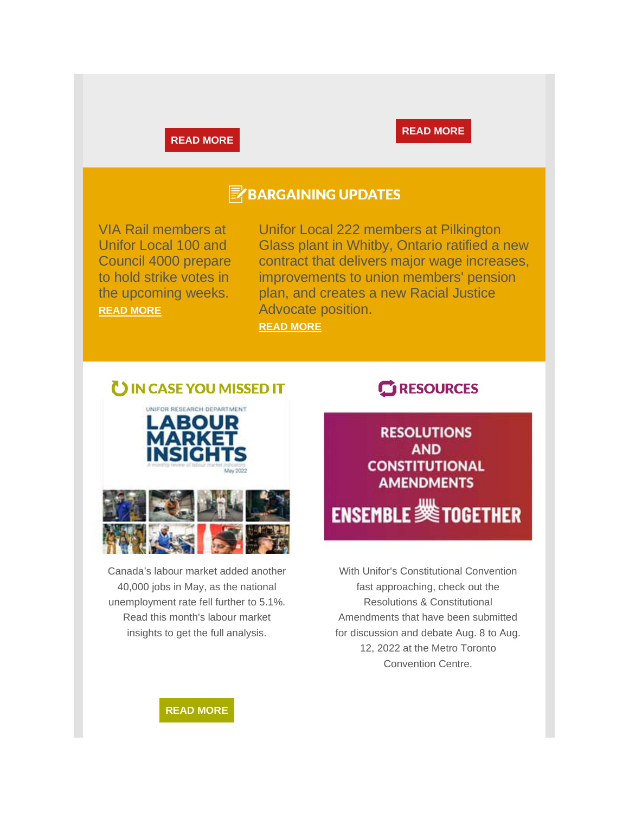#### **READ [MORE](https://www.unifor.org/news/all-news/auto-parts-workers-util-ratify-agreement-ending-labour-dispute)**



## **E** BARGAINING UPDATES

VIA Rail members at Unifor Local 100 and Council 4000 prepare to hold strike votes in the upcoming weeks. **[READ MORE](https://www.unifor.org/news/all-news/rail-line-volume-9-issue-7)**

Unifor Local 222 members at Pilkington Glass plant in Whitby, Ontario ratified a new contract that delivers major wage increases, improvements to union members' pension plan, and creates a new Racial Justice Advocate position. **[READ MORE](https://www.unifor.org/news/all-news/unifor-members-pilkington-glass-make-major-wage-gains-new-contract)**

## UIN CASE YOU MISSED IT



Canada's labour market added another 40,000 jobs in May, as the national unemployment rate fell further to 5.1%. Read this month's labour market insights to get the full analysis.

## **C**RESOURCES



With Unifor's Constitutional Convention fast approaching, check out the Resolutions & Constitutional Amendments that have been submitted for discussion and debate Aug. 8 to Aug. 12, 2022 at the Metro Toronto Convention Centre.

**READ [MORE](https://www.unifor.org/resources/our-resources/labour-market-insights-may-2022)**